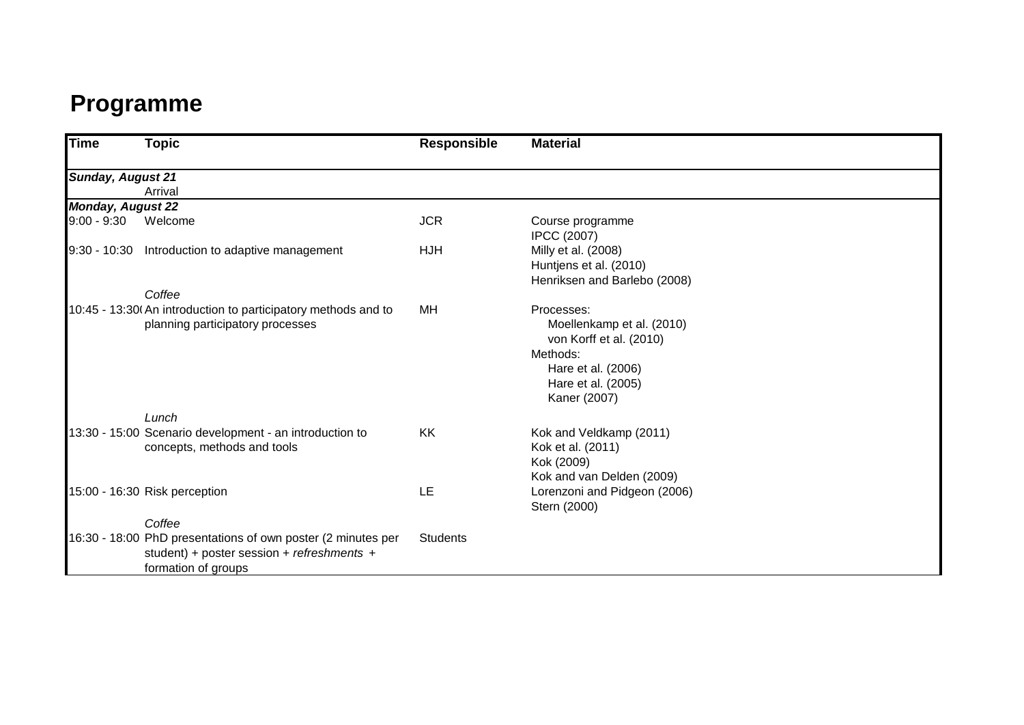# **Programme**

| <b>Time</b>              | Topic                                                                                                                             | <b>Responsible</b> | <b>Material</b>                                                                                                                            |  |
|--------------------------|-----------------------------------------------------------------------------------------------------------------------------------|--------------------|--------------------------------------------------------------------------------------------------------------------------------------------|--|
| <b>Sunday, August 21</b> |                                                                                                                                   |                    |                                                                                                                                            |  |
|                          | Arrival                                                                                                                           |                    |                                                                                                                                            |  |
| <b>Monday, August 22</b> |                                                                                                                                   |                    |                                                                                                                                            |  |
| $9:00 - 9:30$            | Welcome                                                                                                                           | <b>JCR</b>         | Course programme<br><b>IPCC (2007)</b>                                                                                                     |  |
| 9:30 - 10:30             | Introduction to adaptive management<br>Coffee                                                                                     | <b>HJH</b>         | Milly et al. (2008)<br>Huntjens et al. (2010)<br>Henriksen and Barlebo (2008)                                                              |  |
|                          | 10:45 - 13:30 (An introduction to participatory methods and to<br>planning participatory processes                                | МH                 | Processes:<br>Moellenkamp et al. (2010)<br>von Korff et al. (2010)<br>Methods:<br>Hare et al. (2006)<br>Hare et al. (2005)<br>Kaner (2007) |  |
|                          | Lunch                                                                                                                             |                    |                                                                                                                                            |  |
|                          | 13:30 - 15:00 Scenario development - an introduction to<br>concepts, methods and tools                                            | <b>KK</b>          | Kok and Veldkamp (2011)<br>Kok et al. (2011)<br>Kok (2009)<br>Kok and van Delden (2009)                                                    |  |
|                          | 15:00 - 16:30 Risk perception                                                                                                     | LE                 | Lorenzoni and Pidgeon (2006)<br>Stern (2000)                                                                                               |  |
|                          | Coffee                                                                                                                            |                    |                                                                                                                                            |  |
|                          | 16:30 - 18:00 PhD presentations of own poster (2 minutes per<br>student) + poster session + refreshments +<br>formation of groups | <b>Students</b>    |                                                                                                                                            |  |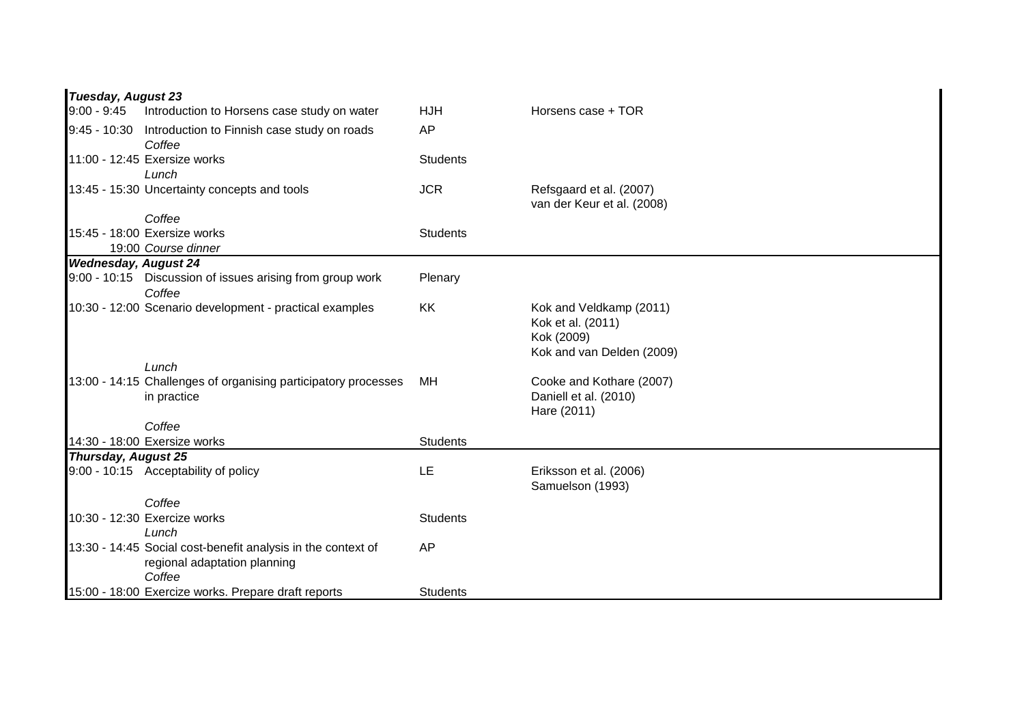|                             | <b>Tuesday, August 23</b>                                                                              |                 |                                                                                         |  |  |
|-----------------------------|--------------------------------------------------------------------------------------------------------|-----------------|-----------------------------------------------------------------------------------------|--|--|
| $9:00 - 9:45$               | Introduction to Horsens case study on water                                                            | <b>HJH</b>      | Horsens case + TOR                                                                      |  |  |
|                             | 9:45 - 10:30 Introduction to Finnish case study on roads<br>Coffee                                     | AP              |                                                                                         |  |  |
|                             | 11:00 - 12:45 Exersize works                                                                           | <b>Students</b> |                                                                                         |  |  |
|                             | Lunch                                                                                                  |                 |                                                                                         |  |  |
|                             | 13:45 - 15:30 Uncertainty concepts and tools                                                           | <b>JCR</b>      | Refsgaard et al. (2007)<br>van der Keur et al. (2008)                                   |  |  |
|                             | Coffee                                                                                                 |                 |                                                                                         |  |  |
|                             | 15:45 - 18:00 Exersize works                                                                           | <b>Students</b> |                                                                                         |  |  |
|                             | 19:00 Course dinner                                                                                    |                 |                                                                                         |  |  |
| <b>Wednesday, August 24</b> |                                                                                                        |                 |                                                                                         |  |  |
|                             | 9:00 - 10:15 Discussion of issues arising from group work<br>Coffee                                    | Plenary         |                                                                                         |  |  |
|                             | 10:30 - 12:00 Scenario development - practical examples                                                | KK              | Kok and Veldkamp (2011)<br>Kok et al. (2011)<br>Kok (2009)<br>Kok and van Delden (2009) |  |  |
|                             | Lunch                                                                                                  |                 |                                                                                         |  |  |
|                             | 13:00 - 14:15 Challenges of organising participatory processes<br>in practice                          | MH              | Cooke and Kothare (2007)<br>Daniell et al. (2010)<br>Hare (2011)                        |  |  |
|                             | Coffee                                                                                                 |                 |                                                                                         |  |  |
|                             | 14:30 - 18:00 Exersize works                                                                           | <b>Students</b> |                                                                                         |  |  |
| <b>Thursday, August 25</b>  |                                                                                                        |                 |                                                                                         |  |  |
|                             | 9:00 - 10:15 Acceptability of policy                                                                   | LE              | Eriksson et al. (2006)<br>Samuelson (1993)                                              |  |  |
|                             | Coffee                                                                                                 |                 |                                                                                         |  |  |
|                             | 10:30 - 12:30 Exercize works<br>Lunch                                                                  | <b>Students</b> |                                                                                         |  |  |
|                             | 13:30 - 14:45 Social cost-benefit analysis in the context of<br>regional adaptation planning<br>Coffee | AP              |                                                                                         |  |  |
|                             | 15:00 - 18:00 Exercize works. Prepare draft reports                                                    | <b>Students</b> |                                                                                         |  |  |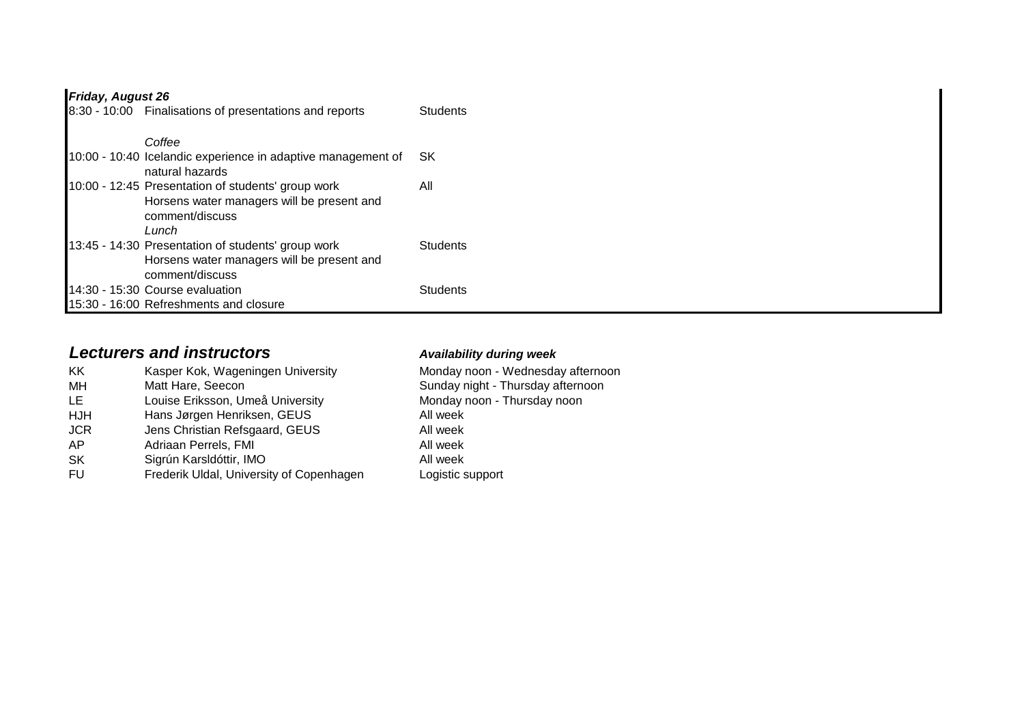## *Friday, August 26*

| 8:30 - 10:00 Finalisations of presentations and reports                                                                      | <b>Students</b> |
|------------------------------------------------------------------------------------------------------------------------------|-----------------|
| Coffee                                                                                                                       |                 |
| 10:00 - 10:40 Icelandic experience in adaptive management of<br>natural hazards                                              | SK.             |
| 10:00 - 12:45 Presentation of students' group work<br>Horsens water managers will be present and<br>comment/discuss<br>Lunch | All             |
| 13:45 - 14:30 Presentation of students' group work<br>Horsens water managers will be present and<br>comment/discuss          | <b>Students</b> |
| 14:30 - 15:30 Course evaluation                                                                                              | <b>Students</b> |
| 15:30 - 16:00 Refreshments and closure                                                                                       |                 |

# *Lecturers and instructors Availability during week*

| KK.<br>MН<br>LE<br>HJH<br><b>JCR</b><br>AP | Kasper Kok, Wageningen University<br>Matt Hare, Seecon<br>Louise Eriksson, Umeå University<br>Hans Jørgen Henriksen, GEUS<br>Jens Christian Refsgaard, GEUS<br>Adriaan Perrels, FMI | Monday noon - Wednesday afternoon<br>Sunday night - Thursday afternoon<br>Monday noon - Thursday noon<br>All week<br>All week<br>All week<br>All week |
|--------------------------------------------|-------------------------------------------------------------------------------------------------------------------------------------------------------------------------------------|-------------------------------------------------------------------------------------------------------------------------------------------------------|
| <b>SK</b>                                  | Sigrún Karsldóttir, IMO                                                                                                                                                             |                                                                                                                                                       |
| FU.                                        | Frederik Uldal, University of Copenhagen                                                                                                                                            | Logistic support                                                                                                                                      |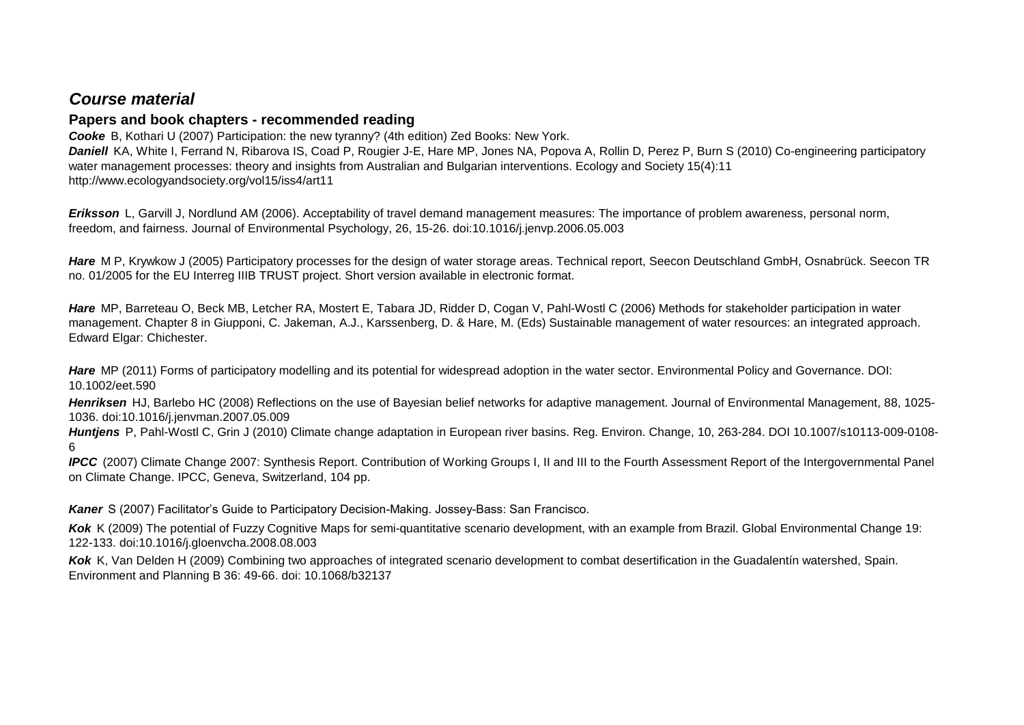### *Course material*

### **Papers and book chapters - recommended reading**

*Cooke* B, Kothari U (2007) Participation: the new tyranny? (4th edition) Zed Books: New York. **Daniell** KA, White I, Ferrand N, Ribarova IS, Coad P, Rougier J-E, Hare MP, Jones NA, Popova A, Rollin D, Perez P, Burn S (2010) Co-engineering participatory water management processes: theory and insights from Australian and Bulgarian interventions. Ecology and Society 15(4):11 http://www.ecologyandsociety.org/vol15/iss4/art11

*Eriksson* L, Garvill J, Nordlund AM (2006). Acceptability of travel demand management measures: The importance of problem awareness, personal norm, freedom, and fairness. Journal of Environmental Psychology, 26, 15-26. doi:10.1016/j.jenvp.2006.05.003

Hare M P, Krywkow J (2005) Participatory processes for the design of water storage areas. Technical report, Seecon Deutschland GmbH, Osnabrück. Seecon TR no. 01/2005 for the EU Interreg IIIB TRUST project. Short version available in electronic format.

*Hare* MP, Barreteau O, Beck MB, Letcher RA, Mostert E, Tabara JD, Ridder D, Cogan V, Pahl-Wostl C (2006) Methods for stakeholder participation in water management. Chapter 8 in Giupponi, C. Jakeman, A.J., Karssenberg, D. & Hare, M. (Eds) Sustainable management of water resources: an integrated approach. Edward Elgar: Chichester.

*Hare* MP (2011) Forms of participatory modelling and its potential for widespread adoption in the water sector. Environmental Policy and Governance. DOI: 10.1002/eet.590

*Henriksen* HJ, Barlebo HC (2008) Reflections on the use of Bayesian belief networks for adaptive management. Journal of Environmental Management, 88, 1025- 1036. doi:10.1016/j.jenvman.2007.05.009

*Huntjens* P, Pahl-Wostl C, Grin J (2010) Climate change adaptation in European river basins. Reg. Environ. Change, 10, 263-284. DOI 10.1007/s10113-009-0108- 6

*IPCC* (2007) Climate Change 2007: Synthesis Report. Contribution of Working Groups I, II and III to the Fourth Assessment Report of the Intergovernmental Panel on Climate Change. IPCC, Geneva, Switzerland, 104 pp.

*Kaner* S (2007) Facilitator's Guide to Participatory Decision-Making. Jossey-Bass: San Francisco.

*Kok* K (2009) The potential of Fuzzy Cognitive Maps for semi-quantitative scenario development, with an example from Brazil. Global Environmental Change 19: 122-133. doi:10.1016/j.gloenvcha.2008.08.003

*Kok* K, Van Delden H (2009) Combining two approaches of integrated scenario development to combat desertification in the Guadalentín watershed, Spain. Environment and Planning B 36: 49-66. doi: 10.1068/b32137